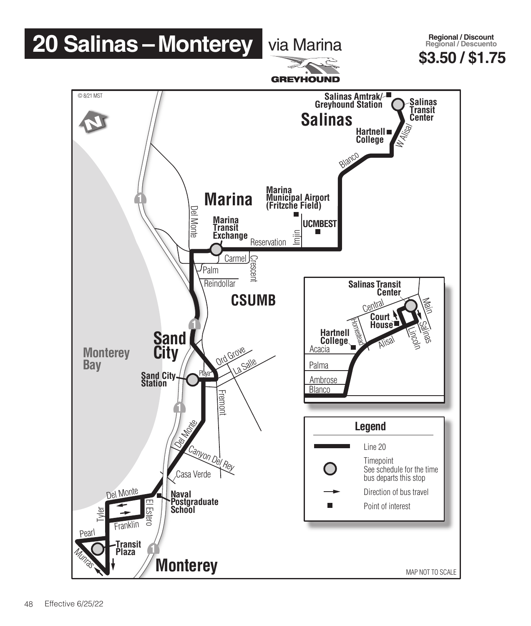## **20 Salinas – Monterey via Marina**

**\$3.50 / \$1.75 Regional / Discount Regional / Descuento**



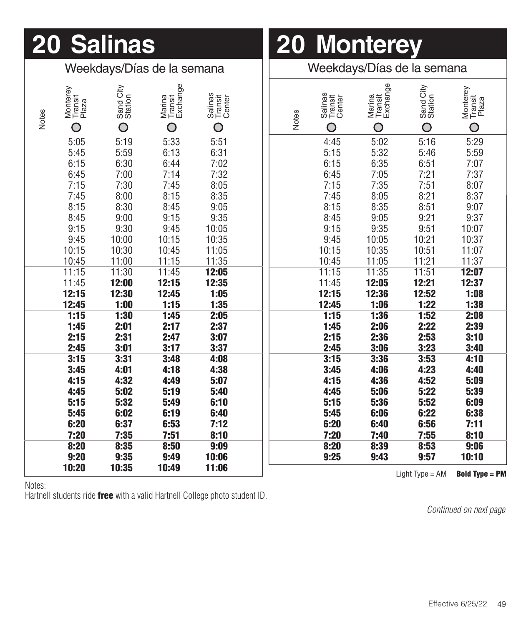| 20 | <b>lalinas</b> |
|----|----------------|
|    |                |

## **20 Monterey 20 Salinas 20 Monterey**

| Weekdays/Días de la semana |                                                    |                           |                                            | Weekdays/Días de la semana             |  |  |              |                                   |                                    |                           |                                   |
|----------------------------|----------------------------------------------------|---------------------------|--------------------------------------------|----------------------------------------|--|--|--------------|-----------------------------------|------------------------------------|---------------------------|-----------------------------------|
|                            | Monterey<br>Transit<br>Plaza<br>Notes<br>$\bigcap$ | Sand City<br>Station<br>O | Marina<br>Transit<br>Exchange<br>$\bigcap$ | Salinas<br>Transit<br>Center<br>$\cap$ |  |  | <b>Notes</b> | Salinas<br>Transit<br>Center<br>O | Marina<br>Transit<br>Exchange<br>O | Sand City<br>Station<br>O | Monterey<br>Transit<br>Plaza<br>O |
|                            | 5:05<br>5:45                                       | 5:19<br>5:59              | 5:33<br>6:13                               | 5:51<br>6:31                           |  |  |              | 4:45<br>5:15                      | 5:02<br>5:32                       | 5:16<br>5:46              | 5:29<br>5:59                      |
|                            | 6:15<br>6:45                                       | 6:30<br>7:00              | 6:44<br>7:14                               | 7:02<br>7:32                           |  |  |              | 6:15<br>6:45                      | 6:35<br>7:05                       | 6:51<br>7:21              | 7:07<br>7:37                      |
|                            | 7:15<br>7:45                                       | 7:30<br>8:00              | 7:45<br>8:15                               | 8:05<br>8:35                           |  |  |              | 7:15<br>7:45                      | 7:35<br>8:05                       | 7:51<br>8:21              | 8:07<br>8:37                      |
|                            | 8:15<br>8:45                                       | 8:30<br>9:00              | 8:45<br>9:15                               | 9:05<br>9:35                           |  |  |              | 8:15<br>8:45                      | 8:35<br>9:05                       | 8:51<br>9:21              | 9:07<br>9:37                      |
|                            | 9:15<br>9:45                                       | 9:30<br>10:00             | 9:45<br>10:15                              | 10:05<br>10:35                         |  |  |              | 9:15<br>9:45                      | 9:35<br>10:05                      | 9:51<br>10:21             | 10:07<br>10:37                    |
|                            | 10:15                                              | 10:30                     | 10:45                                      | 11:05                                  |  |  |              | 10:15                             | 10:35                              | 10:51                     | 11:07                             |
|                            | 10:45<br>11:15                                     | 11:00<br>11:30            | 11:15<br>11:45                             | 11:35<br>12:05                         |  |  |              | 10:45<br>11:15                    | 11:05<br>11:35                     | 11:21<br>11:51            | 11:37<br>12:07                    |
|                            | 11:45<br>12:15                                     | 12:00<br>12:30            | 12:15<br>12:45                             | 12:35<br>1:05                          |  |  |              | 11:45<br>12:15                    | 12:05<br>12:36                     | 12:21<br>12:52            | 12:37<br>1:08                     |
|                            | 12:45<br>1:15                                      | 1:00<br>1:30              | 1:15<br>1:45                               | 1:35<br>2:05                           |  |  |              | 12:45<br>1:15                     | 1:06<br>1:36                       | 1:22<br>1:52              | 1:38<br>2:08                      |
|                            | 1:45<br>2:15                                       | 2:01<br>2:31              | 2:17<br>2:47                               | 2:37<br>3:07                           |  |  |              | 1:45<br>2:15                      | 2:06<br>2:36                       | 2:22<br>2:53              | 2:39<br>3:10                      |
|                            | 2:45<br>3:15                                       | 3:01<br>3:31              | 3:17<br>3:48                               | 3:37<br>4:08                           |  |  |              | 2:45<br>3:15                      | 3:06<br>3:36                       | 3:23<br>3:53              | 3:40<br>4:10                      |
|                            | 3:45<br>4:15                                       | 4:01<br>4:32              | 4:18<br>4:49                               | 4:38<br>5:07                           |  |  |              | 3:45<br>4:15                      | 4:06<br>4:36                       | 4:23<br>4:52              | 4:40<br>5:09                      |
|                            | 4:45<br>5:15                                       | 5:02<br>5:32              | 5:19<br>5:49                               | 5:40<br>6:10                           |  |  |              | 4:45<br>5:15                      | 5:06<br>5:36                       | 5:22<br>5:52              | 5:39<br>6:09                      |
|                            | 5:45<br>6:20                                       | 6:02<br>6:37              | 6:19<br>6:53                               | 6:40<br>7:12                           |  |  |              | 5:45<br>6:20                      | 6:06<br>6:40                       | 6:22<br>6:56              | 6:38<br>7:11                      |
|                            | 7:20<br>8:20                                       | 7:35<br>8:35              | 7:51<br>8:50                               | 8:10<br>9:09                           |  |  |              | 7:20<br>8:20                      | 7:40<br>8:39                       | 7:55<br>8:53              | 8:10<br>9:06                      |
|                            | 9:20<br>10:20                                      | 9:35<br>10:35             | 9:49<br>10:49                              | 10:06<br>11:06                         |  |  |              | 9:25                              | 9:43                               | 9:57                      | 10:10                             |
|                            |                                                    |                           |                                            |                                        |  |  |              |                                   |                                    | Light $Type = AM$         | <b>Bold Type = PM</b>             |

Notes:

Hartnell students ride free with a valid Hartnell College photo student ID.

*Continued on next page*